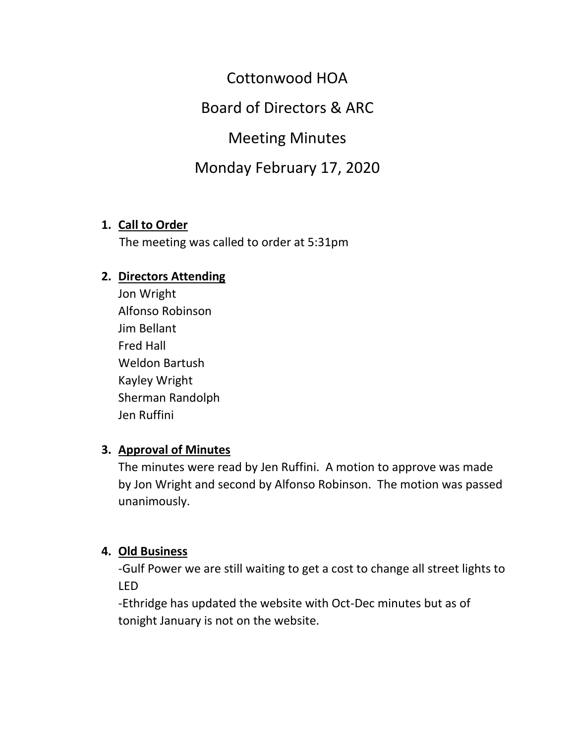Cottonwood HOA

Board of Directors & ARC

Meeting Minutes

# Monday February 17, 2020

#### **1. Call to Order**

The meeting was called to order at 5:31pm

#### **2. Directors Attending**

Jon Wright Alfonso Robinson Jim Bellant Fred Hall Weldon Bartush Kayley Wright Sherman Randolph Jen Ruffini

#### **3. Approval of Minutes**

The minutes were read by Jen Ruffini. A motion to approve was made by Jon Wright and second by Alfonso Robinson. The motion was passed unanimously.

#### **4. Old Business**

-Gulf Power we are still waiting to get a cost to change all street lights to LED

-Ethridge has updated the website with Oct-Dec minutes but as of tonight January is not on the website.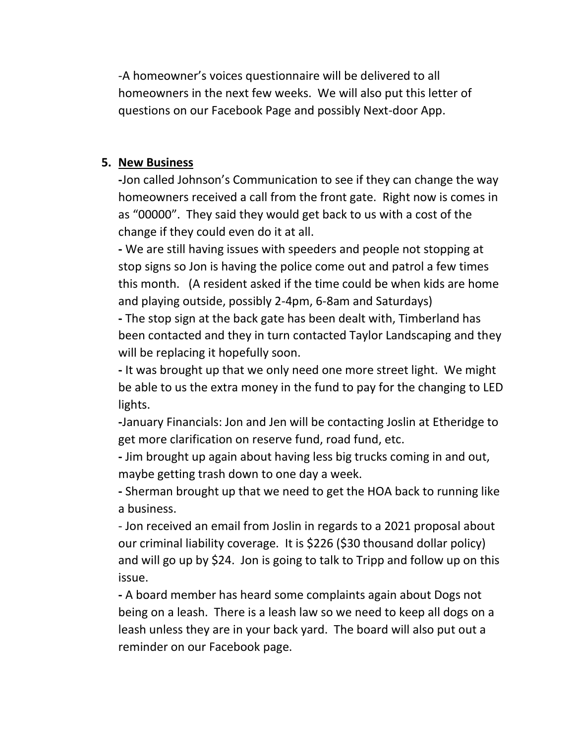-A homeowner's voices questionnaire will be delivered to all homeowners in the next few weeks. We will also put this letter of questions on our Facebook Page and possibly Next-door App.

### **5. New Business**

**-**Jon called Johnson's Communication to see if they can change the way homeowners received a call from the front gate. Right now is comes in as "00000". They said they would get back to us with a cost of the change if they could even do it at all.

**-** We are still having issues with speeders and people not stopping at stop signs so Jon is having the police come out and patrol a few times this month. (A resident asked if the time could be when kids are home and playing outside, possibly 2-4pm, 6-8am and Saturdays)

**-** The stop sign at the back gate has been dealt with, Timberland has been contacted and they in turn contacted Taylor Landscaping and they will be replacing it hopefully soon.

**-** It was brought up that we only need one more street light. We might be able to us the extra money in the fund to pay for the changing to LED lights.

**-**January Financials: Jon and Jen will be contacting Joslin at Etheridge to get more clarification on reserve fund, road fund, etc.

**-** Jim brought up again about having less big trucks coming in and out, maybe getting trash down to one day a week.

**-** Sherman brought up that we need to get the HOA back to running like a business.

- Jon received an email from Joslin in regards to a 2021 proposal about our criminal liability coverage. It is \$226 (\$30 thousand dollar policy) and will go up by \$24. Jon is going to talk to Tripp and follow up on this issue.

**-** A board member has heard some complaints again about Dogs not being on a leash. There is a leash law so we need to keep all dogs on a leash unless they are in your back yard. The board will also put out a reminder on our Facebook page.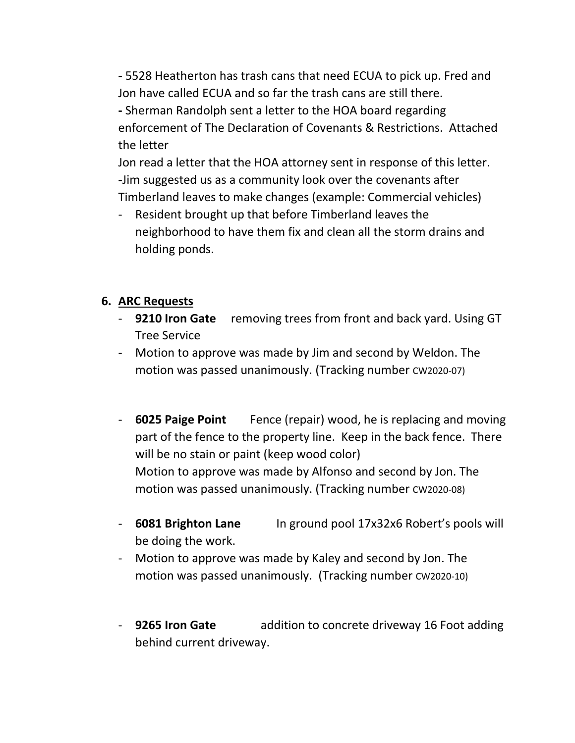**-** 5528 Heatherton has trash cans that need ECUA to pick up. Fred and Jon have called ECUA and so far the trash cans are still there. **-** Sherman Randolph sent a letter to the HOA board regarding enforcement of The Declaration of Covenants & Restrictions. Attached the letter

Jon read a letter that the HOA attorney sent in response of this letter. **-**Jim suggested us as a community look over the covenants after Timberland leaves to make changes (example: Commercial vehicles)

Resident brought up that before Timberland leaves the neighborhood to have them fix and clean all the storm drains and holding ponds.

## **6. ARC Requests**

- **9210 Iron Gate** removing trees from front and back yard. Using GT Tree Service
- Motion to approve was made by Jim and second by Weldon. The motion was passed unanimously. (Tracking number CW2020-07)
- **6025 Paige Point** Fence (repair) wood, he is replacing and moving part of the fence to the property line. Keep in the back fence. There will be no stain or paint (keep wood color) Motion to approve was made by Alfonso and second by Jon. The motion was passed unanimously. (Tracking number CW2020-08)
- **6081 Brighton Lane** In ground pool 17x32x6 Robert's pools will be doing the work.
- Motion to approve was made by Kaley and second by Jon. The motion was passed unanimously. (Tracking number CW2020-10)
- **9265 Iron Gate** addition to concrete driveway 16 Foot adding behind current driveway.